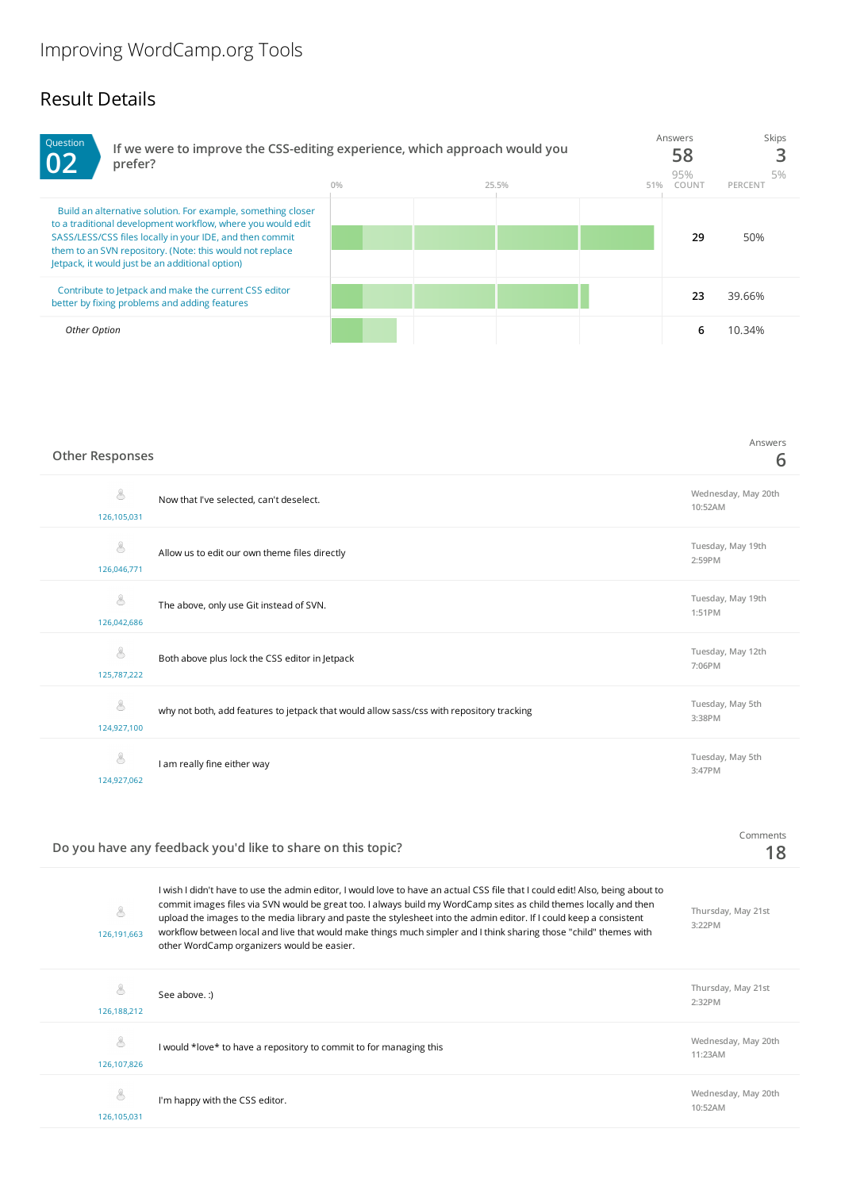## Result Details



## **Other Responses**

126,107,826

8

| 8<br>126,105,031 | Now that I've selected, can't deselect.                                                  | Wednesday, May 20th<br>10:52AM |
|------------------|------------------------------------------------------------------------------------------|--------------------------------|
| 8<br>126,046,771 | Allow us to edit our own theme files directly                                            | Tuesday, May 19th<br>2:59PM    |
| 8<br>126,042,686 | The above, only use Git instead of SVN.                                                  | Tuesday, May 19th<br>1:51PM    |
| 8<br>125,787,222 | Both above plus lock the CSS editor in Jetpack                                           | Tuesday, May 12th<br>7:06PM    |
| 8<br>124,927,100 | why not both, add features to jetpack that would allow sass/css with repository tracking | Tuesday, May 5th<br>3:38PM     |
| 8<br>124,927,062 | I am really fine either way                                                              | Tuesday, May 5th<br>3:47PM     |

## **Do you have any feedback you'd like to share on this topic?**

| 126,191,663 | I wish I didn't have to use the admin editor, I would love to have an actual CSS file that I could edit! Also, being about to<br>commit images files via SVN would be great too. I always build my WordCamp sites as child themes locally and then<br>upload the images to the media library and paste the stylesheet into the admin editor. If I could keep a consistent<br>workflow between local and live that would make things much simpler and I think sharing those "child" themes with<br>other WordCamp organizers would be easier. | Thursday, May 21st<br>$3:22$ PM |
|-------------|----------------------------------------------------------------------------------------------------------------------------------------------------------------------------------------------------------------------------------------------------------------------------------------------------------------------------------------------------------------------------------------------------------------------------------------------------------------------------------------------------------------------------------------------|---------------------------------|
| 126.188.212 | See above.:)                                                                                                                                                                                                                                                                                                                                                                                                                                                                                                                                 | Thursday, May 21st<br>$2:32$ PM |
|             |                                                                                                                                                                                                                                                                                                                                                                                                                                                                                                                                              |                                 |

I would \*love\* to have a repository to commit to for managing this **Wednesday, May 20th 11:23AM**

Comments **18**

Answers **6**

| Q<br>$\smile$ | I'm happy with the CSS editor. | Wednesday, May 20th<br>10:52AM |
|---------------|--------------------------------|--------------------------------|
| 126,105,031   |                                |                                |